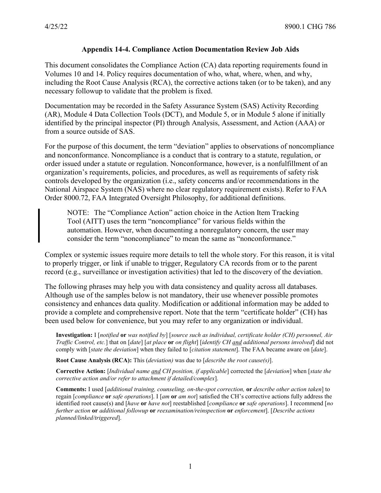## **Appendix 14-4. Compliance Action Documentation Review Job Aids**

This document consolidates the Compliance Action (CA) data reporting requirements found in Volumes 10 and 14. Policy requires documentation of who, what, where, when, and why, including the Root Cause Analysis (RCA), the corrective actions taken (or to be taken), and any necessary followup to validate that the problem is fixed.

Documentation may be recorded in the Safety Assurance System (SAS) Activity Recording (AR), Module 4 Data Collection Tools (DCT), and Module 5, or in Module 5 alone if initially identified by the principal inspector (PI) through Analysis, Assessment, and Action (AAA) or from a source outside of SAS.

For the purpose of this document, the term "deviation" applies to observations of noncompliance and nonconformance. Noncompliance is a conduct that is contrary to a statute, regulation, or order issued under a statute or regulation. Nonconformance, however, is a nonfulfillment of an organization's requirements, policies, and procedures, as well as requirements of safety risk controls developed by the organization (i.e., safety concerns and/or recommendations in the National Airspace System (NAS) where no clear regulatory requirement exists). Refer to FAA Order 8000.72, FAA Integrated Oversight Philosophy, for additional definitions.

NOTE: The "Compliance Action" action choice in the Action Item Tracking Tool (AITT) uses the term "noncompliance" for various fields within the automation. However, when documenting a nonregulatory concern, the user may consider the term "noncompliance" to mean the same as "nonconformance."

Complex or systemic issues require more details to tell the whole story. For this reason, it is vital to properly trigger, or link if unable to trigger, Regulatory CA records from or to the parent record (e.g., surveillance or investigation activities) that led to the discovery of the deviation.

The following phrases may help you with data consistency and quality across all databases. Although use of the samples below is not mandatory, their use whenever possible promotes consistency and enhances data quality. Modification or additional information may be added to provide a complete and comprehensive report. Note that the term "certificate holder" (CH) has been used below for convenience, but you may refer to any organization or individual.

**Investigation:** I [*notified* **or** *was notified by*] [*source such as individual, certificate holder (CH) personnel, Air Traffic Control, etc.*] that on [*date*] [*at place* **or** *on flight*] [*identify CH and additional persons involved*] did not comply with [*state the deviation*] when they failed to [*citation statement*]. The FAA became aware on [*date*].

**Root Cause Analysis (RCA):** This (*deviation)* was due to [*describe the root cause(s)*].

**Corrective Action:** [*Individual name and CH position, if applicable*] corrected the [*deviation*] when [*state the corrective action and/or refer to attachment if detailed/complex*].

**Comments:** I used [*additional training, counseling, on-the-spot correction,* **or** *describe other action taken*] to regain [*compliance* **or** *safe operations*]. I [*am* **or** *am not*] satisfied the CH's corrective actions fully address the identified root cause(s) and [*have* **or** *have not*] reestablished [*compliance* **or** *safe operations*]. I recommend [*no further action* **or** *additional followup* **or** *reexamination/reinspection* **or** *enforcement*]. [*Describe actions planned/linked/triggered*].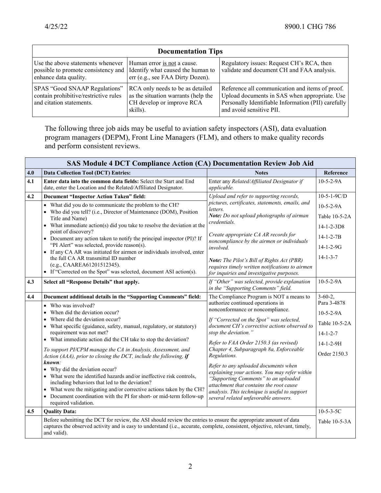| <b>Documentation Tips</b>                                                                                                           |                                                                                                                  |                                                                                                                                                                                     |  |  |
|-------------------------------------------------------------------------------------------------------------------------------------|------------------------------------------------------------------------------------------------------------------|-------------------------------------------------------------------------------------------------------------------------------------------------------------------------------------|--|--|
| Use the above statements whenever<br>possible to promote consistency and Identify what caused the human to<br>enhance data quality. | Human error is not a cause.<br>err (e.g., see FAA Dirty Dozen).                                                  | Regulatory issues: Request CH's RCA, then<br>validate and document CH and FAA analysis.                                                                                             |  |  |
| SPAS "Good SNAAP Regulations"<br>contain prohibitive/restrictive rules<br>and citation statements.                                  | RCA only needs to be as detailed<br>as the situation warrants (help the<br>CH develop or improve RCA<br>skills). | Reference all communication and items of proof.<br>Upload documents in SAS when appropriate. Use<br>Personally Identifiable Information (PII) carefully<br>and avoid sensitive PII. |  |  |

The following three job aids may be useful to aviation safety inspectors (ASI), data evaluation program managers (DEPM), Front Line Managers (FLM), and others to make quality records and perform consistent reviews.

| <b>SAS Module 4 DCT Compliance Action (CA) Documentation Review Job Aid</b> |                                                                                                                                                                                                                                                                                                                                                                                                                                                                                                                                                                                                                                                                                                                                                                                                                                       |                                                                                                                                                                                                                                                                                                                                                                                                                                                                                                                                                                                                                 |                                                                                                                    |  |  |  |
|-----------------------------------------------------------------------------|---------------------------------------------------------------------------------------------------------------------------------------------------------------------------------------------------------------------------------------------------------------------------------------------------------------------------------------------------------------------------------------------------------------------------------------------------------------------------------------------------------------------------------------------------------------------------------------------------------------------------------------------------------------------------------------------------------------------------------------------------------------------------------------------------------------------------------------|-----------------------------------------------------------------------------------------------------------------------------------------------------------------------------------------------------------------------------------------------------------------------------------------------------------------------------------------------------------------------------------------------------------------------------------------------------------------------------------------------------------------------------------------------------------------------------------------------------------------|--------------------------------------------------------------------------------------------------------------------|--|--|--|
| 4.0                                                                         | <b>Data Collection Tool (DCT) Entries:</b>                                                                                                                                                                                                                                                                                                                                                                                                                                                                                                                                                                                                                                                                                                                                                                                            | <b>Notes</b>                                                                                                                                                                                                                                                                                                                                                                                                                                                                                                                                                                                                    | Reference                                                                                                          |  |  |  |
| 4.1                                                                         | Enter data into the common data fields: Select the Start and End<br>date, enter the Location and the Related/Affiliated Designator.                                                                                                                                                                                                                                                                                                                                                                                                                                                                                                                                                                                                                                                                                                   | Enter any Related/Affiliated Designator if<br>applicable.                                                                                                                                                                                                                                                                                                                                                                                                                                                                                                                                                       | $10-5-2-9A$                                                                                                        |  |  |  |
| 4.2                                                                         | <b>Document "Inspector Action Taken" field:</b>                                                                                                                                                                                                                                                                                                                                                                                                                                                                                                                                                                                                                                                                                                                                                                                       | Upload and refer to supporting records,                                                                                                                                                                                                                                                                                                                                                                                                                                                                                                                                                                         | $10-5-1-9C/D$                                                                                                      |  |  |  |
|                                                                             | • What did you do to communicate the problem to the CH?<br>• Who did you tell? (i.e., Director of Maintenance (DOM), Position<br>Title and Name)<br>• What immediate action(s) did you take to resolve the deviation at the<br>point of discovery?<br>• Document any action taken to notify the principal inspector (PI)? If<br>"PI Alert" was selected, provide reason(s).<br>If any CA AR was initiated for airmen or individuals involved, enter<br>$\bullet$<br>the full CA AR transmittal ID number<br>(e.g., CAAREA61201512345).<br>• If "Corrected on the Spot" was selected, document ASI action(s).                                                                                                                                                                                                                          | pictures, certificates, statements, emails, and<br>letters.<br>Note: Do not upload photographs of airman<br>credentials.<br>Create appropriate CA AR records for<br>noncompliance by the airmen or individuals<br>involved.<br><b>Note:</b> The Pilot's Bill of Rights Act (PBR)<br>requires timely written notifications to airmen<br>for inquiries and investigative purposes.                                                                                                                                                                                                                                | $10-5-2-9A$<br>Table 10-5-2A<br>$14 - 1 - 2 - 3D8$<br>$14 - 1 - 2 - 7B$<br>$14-1-2-9G$<br>$14 - 1 - 3 - 7$         |  |  |  |
| 4.3                                                                         | Select all "Response Details" that apply.                                                                                                                                                                                                                                                                                                                                                                                                                                                                                                                                                                                                                                                                                                                                                                                             | If "Other" was selected, provide explanation<br>in the "Supporting Comments" field.                                                                                                                                                                                                                                                                                                                                                                                                                                                                                                                             | $10-5-2-9A$                                                                                                        |  |  |  |
| 4.4                                                                         | Document additional details in the "Supporting Comments" field:<br>Who was involved?<br>$\bullet$<br>When did the deviation occur?<br>Where did the deviation occur?<br>What specific (guidance, safety, manual, regulatory, or statutory)<br>requirement was not met?<br>• What immediate action did the CH take to stop the deviation?<br>To support PI/CPM manage the CA in Analysis, Assessment, and<br>Action (AAA), prior to closing the DCT, include the following, if<br>known:<br>• Why did the deviation occur?<br>• What were the identified hazards and/or ineffective risk controls,<br>including behaviors that led to the deviation?<br>What were the mitigating and/or corrective actions taken by the CH?<br>Document coordination with the PI for short- or mid-term follow-up<br>$\bullet$<br>required validation. | The Compliance Program is NOT a means to<br>authorize continued operations in<br>nonconformance or noncompliance.<br>If "Corrected on the Spot" was selected,<br>document CH's corrective actions observed to<br>stop the deviation."<br>Refer to FAA Order 2150.3 (as revised)<br>Chapter 4, Subparagraph 8a, Enforceable<br>Regulations.<br>Refer to any uploaded documents when<br>explaining your actions. You may refer within<br>"Supporting Comments" to an uploaded<br>attachment that contains the root cause<br>analysis. This technique is useful to support<br>several related unfavorable answers. | $3-60-2,$<br>Para 3-4878<br>$10-5-2-9A$<br>Table 10-5-2A<br>$14 - 1 - 2 - 7$<br>$14 - 1 - 2 - 9$ H<br>Order 2150.3 |  |  |  |
| 4.5                                                                         | <b>Quality Data:</b><br>Before submitting the DCT for review, the ASI should review the entries to ensure the appropriate amount of data<br>captures the observed activity and is easy to understand (i.e., accurate, complete, consistent, objective, relevant, timely,<br>and valid).                                                                                                                                                                                                                                                                                                                                                                                                                                                                                                                                               |                                                                                                                                                                                                                                                                                                                                                                                                                                                                                                                                                                                                                 | $10-5-3-5C$<br>Table 10-5-3A                                                                                       |  |  |  |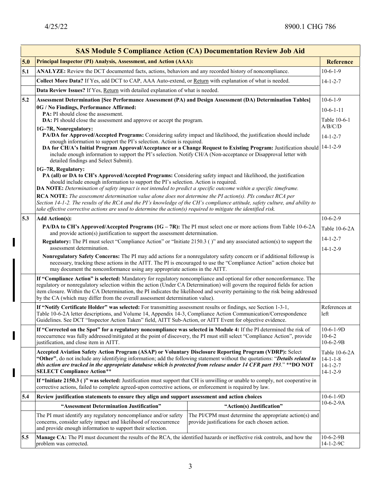$\overline{\phantom{a}}$ 

 $\overline{\mathbf{I}}$ 

 $\blacksquare$ 

|     | <b>SAS Module 5 Compliance Action (CA) Documentation Review Job Aid</b>                                                                                                                                                                                                                                                                                                                                                                                                            |                                                                                                           |                                                                           |  |  |
|-----|------------------------------------------------------------------------------------------------------------------------------------------------------------------------------------------------------------------------------------------------------------------------------------------------------------------------------------------------------------------------------------------------------------------------------------------------------------------------------------|-----------------------------------------------------------------------------------------------------------|---------------------------------------------------------------------------|--|--|
| 5.0 | Principal Inspector (PI) Analysis, Assessment, and Action (AAA):                                                                                                                                                                                                                                                                                                                                                                                                                   |                                                                                                           | <b>Reference</b>                                                          |  |  |
| 5.1 | ANALYZE: Review the DCT documented facts, actions, behaviors and any recorded history of noncompliance.                                                                                                                                                                                                                                                                                                                                                                            |                                                                                                           | $10-6-1-9$                                                                |  |  |
|     | Collect More Data? If Yes, add DCT to CAP, AAA Auto-extend, or Return with explanation of what is needed.                                                                                                                                                                                                                                                                                                                                                                          |                                                                                                           | $14 - 1 - 2 - 7$                                                          |  |  |
|     | Data Review Issues? If Yes, Return with detailed explanation of what is needed.                                                                                                                                                                                                                                                                                                                                                                                                    |                                                                                                           |                                                                           |  |  |
| 5.2 | Assessment Determination [See Performance Assessment (PA) and Design Assessment (DA) Determination Tables]                                                                                                                                                                                                                                                                                                                                                                         |                                                                                                           |                                                                           |  |  |
|     | 0G / No Findings, Performance Affirmed:<br>$10-6-1-11$<br>PA: PI should close the assessment.                                                                                                                                                                                                                                                                                                                                                                                      |                                                                                                           |                                                                           |  |  |
|     | DA: PI should close the assessment and approve or accept the program.                                                                                                                                                                                                                                                                                                                                                                                                              |                                                                                                           | Table 10-6-1                                                              |  |  |
|     | 1G-7R, Nonregulatory:                                                                                                                                                                                                                                                                                                                                                                                                                                                              |                                                                                                           | A/B/C/D                                                                   |  |  |
|     | PA/DA for Approved/Accepted Programs: Considering safety impact and likelihood, the justification should include<br>$14 - 1 - 2 - 7$<br>enough information to support the PI's selection. Action is required.                                                                                                                                                                                                                                                                      |                                                                                                           |                                                                           |  |  |
|     | DA for CH/A's Initial Program Approval/Acceptance or a Change Request to Existing Program: Justification should 14-1-2-9<br>include enough information to support the PI's selection. Notify CH/A (Non-acceptance or Disapproval letter with<br>detailed findings and Select Submit).                                                                                                                                                                                              |                                                                                                           |                                                                           |  |  |
|     | 1G-7R, Regulatory:<br>PA (all) or DA to CH's Approved/Accepted Programs: Considering safety impact and likelihood, the justification<br>should include enough information to support the PI's selection. Action is required.<br>DA NOTE: Determination of safety impact is not intended to predict a specific outcome within a specific timeframe.                                                                                                                                 |                                                                                                           |                                                                           |  |  |
|     | RCA NOTE: The assessment determination value alone does not determine the PI action(s). PIs conduct RCA per<br>Section 14-1-2. The results of the RCA and the PI's knowledge of the CH's compliance attitude, safety culture, and ability to<br>take effective corrective actions are used to determine the action(s) required to mitigate the identified risk.                                                                                                                    |                                                                                                           |                                                                           |  |  |
| 5.3 | <b>Add Action(s):</b>                                                                                                                                                                                                                                                                                                                                                                                                                                                              |                                                                                                           |                                                                           |  |  |
|     | PA/DA to CH's Approved/Accepted Programs (1G – 7R): The PI must select one or more actions from Table 10-6-2A<br>and provide action(s) justification to support the assessment determination.                                                                                                                                                                                                                                                                                      |                                                                                                           | Table 10-6-2A                                                             |  |  |
|     | Regulatory: The PI must select "Compliance Action" or "Initiate 2150.3 ()" and any associated action(s) to support the<br>assessment determination.<br>Nonregulatory Safety Concerns: The PI may add actions for a nonregulatory safety concern or if additional followup is<br>necessary, tracking these actions in the AITT. The PI is encouraged to use the "Compliance Action" action choice but<br>may document the nonconformance using any appropriate actions in the AITT. |                                                                                                           | $14 - 1 - 2 - 7$<br>$14 - 1 - 2 - 9$                                      |  |  |
|     |                                                                                                                                                                                                                                                                                                                                                                                                                                                                                    |                                                                                                           |                                                                           |  |  |
|     | If "Compliance Action" is selected: Mandatory for regulatory noncompliance and optional for other nonconformance. The<br>regulatory or nonregulatory selection within the action (Under CA Determination) will govern the required fields for action<br>item closure. Within the CA Determination, the PI indicates the likelihood and severity pertaining to the risk being addressed<br>by the CA (which may differ from the overall assessment determination value).            |                                                                                                           |                                                                           |  |  |
|     | If "Notify Certificate Holder" was selected: For transmitting assessment results or findings, see Section 1-3-1,<br>Table 10-6-2A letter descriptions, and Volume 14, Appendix 14-3, Compliance Action Communication/Correspondence<br>Guidelines. See DCT "Inspector Action Taken" field, AITT Sub-Action, or AITT Event for objective evidence.                                                                                                                                  |                                                                                                           | References at<br>left                                                     |  |  |
|     | If "Corrected on the Spot" for a regulatory noncompliance was selected in Module 4: If the PI determined the risk of<br>reoccurrence was fully addressed/mitigated at the point of discovery, the PI must still select "Compliance Action", provide<br>justification, and close item in AITT.                                                                                                                                                                                      |                                                                                                           | $10-6-1-9D$<br>$10-6-2$<br>$10-6-2-9B$                                    |  |  |
|     | Accepted Aviation Safety Action Program (ASAP) or Voluntary Disclosure Reporting Program (VDRP): Select<br>"Other", do not include any identifying information; add the following statement without the quotations: "Details related to<br>this action are tracked in the appropriate database which is protected from release under 14 CFR part 193." **DO NOT<br><b>SELECT Compliance Action**</b>                                                                               |                                                                                                           | Table 10-6-2A<br>$14 - 1 - 1 - 8$<br>$14 - 1 - 2 - 7$<br>$14 - 1 - 2 - 9$ |  |  |
|     | If "Initiate 2150.3 ()" was selected: Justification must support that CH is unwilling or unable to comply, not cooperative in<br>corrective actions, failed to complete agreed-upon corrective actions, or enforcement is required by law.                                                                                                                                                                                                                                         |                                                                                                           |                                                                           |  |  |
| 5.4 | Review justification statements to ensure they align and support assessment and action choices                                                                                                                                                                                                                                                                                                                                                                                     |                                                                                                           | $10-6-1-9D$                                                               |  |  |
|     | "Assessment Determination Justification"                                                                                                                                                                                                                                                                                                                                                                                                                                           | "Action(s) Justification"                                                                                 | $10-6-2-9A$                                                               |  |  |
|     | The PI must identify any regulatory noncompliance and/or safety<br>concerns, consider safety impact and likelihood of reoccurrence<br>and provide enough information to support their selection.                                                                                                                                                                                                                                                                                   | The PI/CPM must determine the appropriate action(s) and<br>provide justifications for each chosen action. |                                                                           |  |  |
| 5.5 | Manage CA: The PI must document the results of the RCA, the identified hazards or ineffective risk controls, and how the<br>problem was corrected.                                                                                                                                                                                                                                                                                                                                 |                                                                                                           | $10-6-2-9B$<br>14-1-2-9C                                                  |  |  |